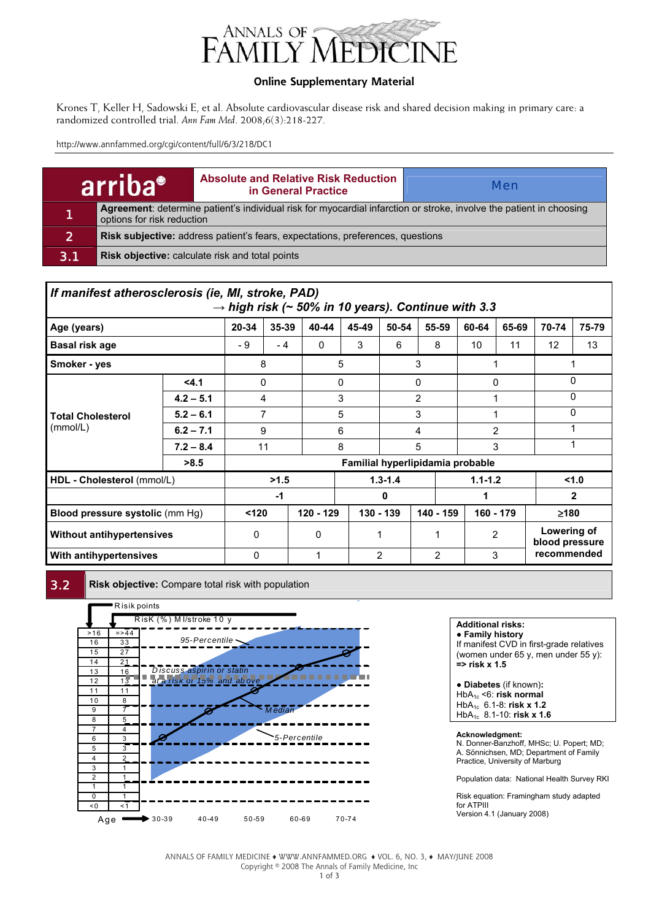

### **Online Supplementary Material**

Krones T, Keller H, Sadowski E, et al. Absolute cardiovascular disease risk and shared decision making in primary care: a randomized controlled trial. *Ann Fam Med*. 2008;6(3):218-227.

http://www.annfammed.org/cgi/content/full/6/3/218/DC1

|     | arriba <sup>®</sup>                                                                                                                               | <b>Absolute and Relative Risk Reduction</b><br>in General Practice | <b>Men</b> |  |  |  |  |  |  |
|-----|---------------------------------------------------------------------------------------------------------------------------------------------------|--------------------------------------------------------------------|------------|--|--|--|--|--|--|
| 11  | Agreement: determine patient's individual risk for myocardial infarction or stroke, involve the patient in choosing<br>options for risk reduction |                                                                    |            |  |  |  |  |  |  |
| 21  | Risk subjective: address patient's fears, expectations, preferences, questions                                                                    |                                                                    |            |  |  |  |  |  |  |
| 3.1 | Risk objective: calculate risk and total points                                                                                                   |                                                                    |            |  |  |  |  |  |  |

| If manifest atherosclerosis (ie, MI, stroke, PAD)<br>$\rightarrow$ high risk (~ 50% in 10 years). Continue with 3.3 |             |                                  |              |       |                |       |                        |                |             |                               |              |  |  |
|---------------------------------------------------------------------------------------------------------------------|-------------|----------------------------------|--------------|-------|----------------|-------|------------------------|----------------|-------------|-------------------------------|--------------|--|--|
| Age (years)                                                                                                         | 20-34       | 35-39                            | 40-44        | 45-49 | 50-54          | 55-59 | 60-64                  | 65-69          | 70-74       | 75-79                         |              |  |  |
| <b>Basal risk age</b>                                                                                               | - 9         | $-4$                             | $\mathbf{0}$ | 3     | 6              | 8     | 10                     | 11             | 12          | 13                            |              |  |  |
| Smoker - yes                                                                                                        | 8           |                                  |              | 5     |                | 3     |                        |                |             |                               |              |  |  |
|                                                                                                                     | < 4.1       |                                  | 0            |       | 0              |       | 0                      |                | 0           | $\Omega$                      |              |  |  |
|                                                                                                                     | $4.2 - 5.1$ | 4                                |              |       | 3              |       | $\overline{2}$         |                |             |                               | $\Omega$     |  |  |
| <b>Total Cholesterol</b>                                                                                            | $5.2 - 6.1$ | 7                                |              |       | 5              |       | 3                      |                |             |                               | 0            |  |  |
| (mmol/L)                                                                                                            | $6.2 - 7.1$ | 9                                |              | 6     |                | 4     |                        | $\overline{2}$ |             |                               |              |  |  |
|                                                                                                                     | $7.2 - 8.4$ | 11                               |              | 8     |                | 5     |                        | 3              |             | 1                             |              |  |  |
|                                                                                                                     | >8.5        | Familial hyperlipidamia probable |              |       |                |       |                        |                |             |                               |              |  |  |
| HDL - Cholesterol (mmol/L)                                                                                          |             |                                  | >1.5         |       | $1.3 - 1.4$    |       |                        |                | $1.1 - 1.2$ |                               | < 1.0        |  |  |
|                                                                                                                     |             | $-1$                             |              |       |                |       | 0                      |                | 1           |                               | $\mathbf{2}$ |  |  |
| <b>Blood pressure systolic (mm Hg)</b>                                                                              | < 120       |                                  | 120 - 129    |       | 130 - 139      |       | 140 - 159<br>160 - 179 |                | $\geq 180$  |                               |              |  |  |
| <b>Without antihypertensives</b>                                                                                    | $\Omega$    |                                  | $\Omega$     |       |                |       |                        | 2              |             | Lowering of<br>blood pressure |              |  |  |
| With antihypertensives                                                                                              | 0           |                                  |              |       | $\overline{2}$ |       | 3<br>$\overline{2}$    |                | recommended |                               |              |  |  |

**3.2 Risk objective:** Compare total risk with population



**Additional risks:** 

● **Family history** If manifest CVD in first-grade relatives (women under 65 y, men under 55 y): **=> risk x 1.5** 

**● Diabetes** (if known)**:**  HbA1c <6: **risk normal**  HbA1c 6.1-8: **risk x 1.2**  HbA1c 8.1-10: **risk x 1.6** 

#### **Acknowledgment:**

N. Donner-Banzhoff, MHSc; U. Popert; MD; A. Sönnichsen, MD; Department of Family Practice, University of Marburg

Population data: National Health Survey RKI

Risk equation: Framingham study adapted for ATPIII Version 4.1 (January 2008)

ANNALS OF FAMILY MEDICINE ♦ WWW.ANNFAMMED.ORG ♦ VOL. 6, NO. 3, ♦ MAY/JUNE 2008 Copyright © 2008 The Annals of Family Medicine, Inc 1 of 3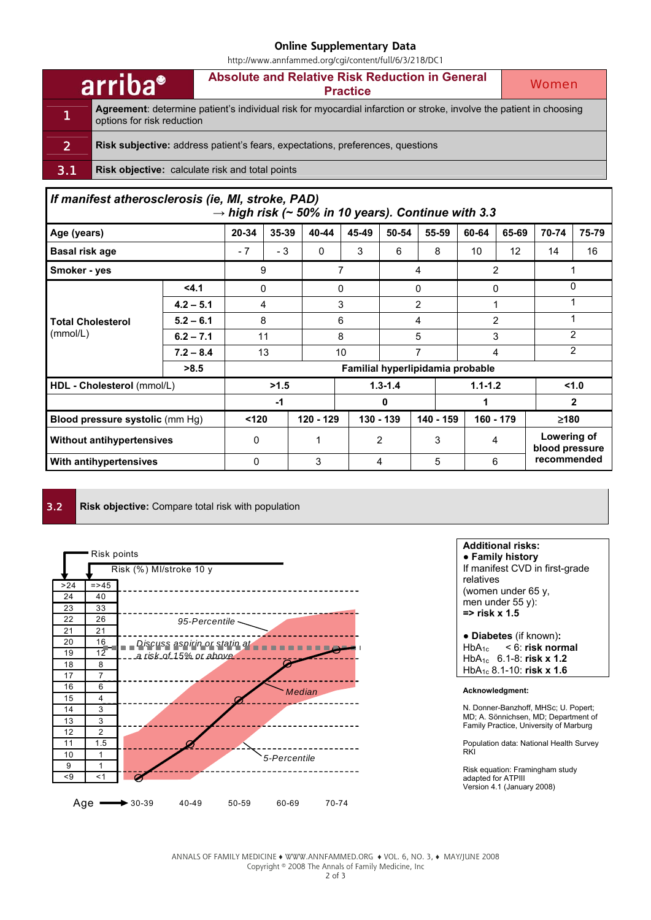#### **Online Supplementary Data**

http://www.annfammed.org/cgi/content/full/6/3/218/DC1

|                | arriba <sup>®</sup>                                                                                                                               | Absolute and Relative Risk Reduction in General<br><b>Practice</b> | Women |  |  |  |  |  |  |  |
|----------------|---------------------------------------------------------------------------------------------------------------------------------------------------|--------------------------------------------------------------------|-------|--|--|--|--|--|--|--|
| 1              | Agreement: determine patient's individual risk for myocardial infarction or stroke, involve the patient in choosing<br>options for risk reduction |                                                                    |       |  |  |  |  |  |  |  |
| $\overline{2}$ | <b>Risk subjective:</b> address patient's fears, expectations, preferences, questions                                                             |                                                                    |       |  |  |  |  |  |  |  |
| 3.1            | <b>Risk objective:</b> calculate risk and total points                                                                                            |                                                                    |       |  |  |  |  |  |  |  |
|                |                                                                                                                                                   |                                                                    |       |  |  |  |  |  |  |  |

| If manifest atherosclerosis (ie, MI, stroke, PAD) |             |       |           |       |                        |                                  | $\rightarrow$ high risk (~ 50% in 10 years). Continue with 3.3 |                   |                               |              |     |  |
|---------------------------------------------------|-------------|-------|-----------|-------|------------------------|----------------------------------|----------------------------------------------------------------|-------------------|-------------------------------|--------------|-----|--|
| Age (years)                                       | 20-34       | 35-39 | 40-44     | 45-49 | 50-54                  | 55-59                            | 60-64                                                          | 65-69             | 70-74                         | 75-79        |     |  |
| <b>Basal risk age</b>                             | - 7         | - 3   | 0         | 3     | 6                      | 8                                | 10                                                             | $12 \overline{ }$ | 14                            | 16           |     |  |
| Smoker - yes                                      | 9           |       |           | 7     |                        | 4                                |                                                                | 2                 |                               |              |     |  |
|                                                   |             | 0     |           | 0     |                        | 0                                |                                                                | 0                 |                               | $\Omega$     |     |  |
|                                                   | $4.2 - 5.1$ | 4     |           |       | 3                      |                                  | $\overline{2}$                                                 |                   |                               |              |     |  |
| <b>Total Cholesterol</b>                          | $5.2 - 6.1$ | 8     |           |       | 6                      |                                  | 4                                                              |                   | $\overline{2}$                |              |     |  |
| (mmol/L)                                          | $6.2 - 7.1$ |       | 11        |       | 8                      |                                  | 5                                                              |                   | 3                             |              | 2   |  |
|                                                   | $7.2 - 8.4$ | 13    |           | 10    |                        | 7                                |                                                                | 4                 |                               |              | 2   |  |
|                                                   | >8.5        |       |           |       |                        | Familial hyperlipidamia probable |                                                                |                   |                               |              |     |  |
| HDL - Cholesterol (mmol/L)                        |             |       | >1.5      |       | $1.3 - 1.4$            |                                  |                                                                |                   | $1.1 - 1.2$                   |              | 1.0 |  |
|                                                   |             | -1    |           |       |                        | 0                                |                                                                |                   |                               | $\mathbf{2}$ |     |  |
| Blood pressure systolic (mm Hg)                   | < 120       |       | 120 - 129 |       | 130 - 139<br>140 - 159 |                                  | 160 - 179                                                      |                   | ≥180                          |              |     |  |
| <b>Without antihypertensives</b>                  | $\Omega$    |       |           | 2     |                        | 3                                | 4                                                              |                   | Lowering of<br>blood pressure |              |     |  |
| With antihypertensives                            | $\Omega$    |       | 3         |       | 5<br>6<br>4            |                                  |                                                                | recommended       |                               |              |     |  |

**3.2 Risk objective:** Compare total risk with population



**Additional risks:** 

● **Family history** If manifest CVD in first-grade relatives (women under 65 y, men under 55 y): **=> risk x 1.5** 

**● Diabetes** (if known)**:**  HbA1c < 6: **risk normal**  HbA1c 6.1-8: **risk x 1.2**  HbA1c 8.1-10: **risk x 1.6** 

#### **Acknowledgment:**

N. Donner-Banzhoff, MHSc; U. Popert; MD; A. Sönnichsen, MD; Department of Family Practice, University of Marburg

Population data: National Health Survey RKI

Risk equation: Framingham study adapted for ATPIII Version 4.1 (January 2008)

ANNALS OF FAMILY MEDICINE ♦ WWW.ANNFAMMED.ORG ♦ VOL. 6, NO. 3, ♦ MAY/JUNE 2008 Copyright © 2008 The Annals of Family Medicine, Inc 2 of 3